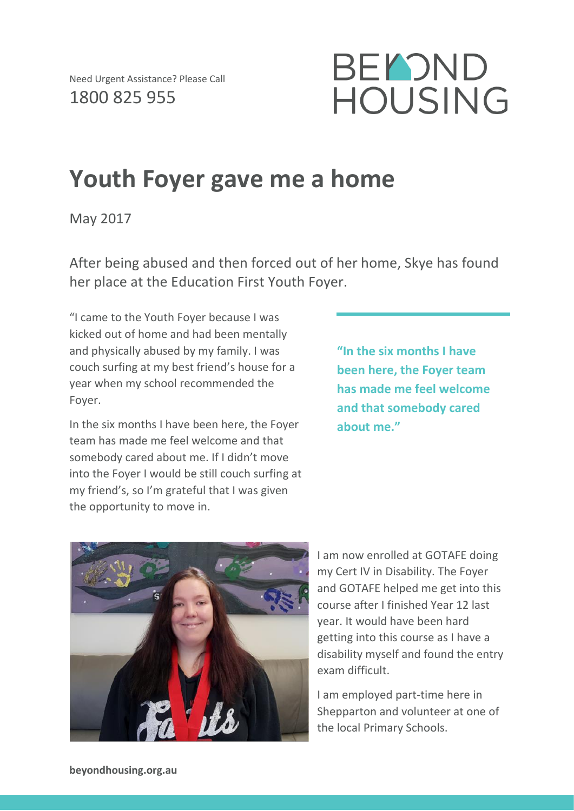

## **Youth Foyer gave me a home**

May 2017

After being abused and then forced out of her home, Skye has found her place at the Education First Youth Foyer.

"I came to the Youth Foyer because I was kicked out of home and had been mentally and physically abused by my family. I was couch surfing at my best friend's house for a year when my school recommended the Foyer.

In the six months I have been here, the Foyer team has made me feel welcome and that somebody cared about me. If I didn't move into the Foyer I would be still couch surfing at my friend's, so I'm grateful that I was given the opportunity to move in.

**"In the six months I have been here, the Foyer team has made me feel welcome and that somebody cared about me."**



I am now enrolled at GOTAFE doing my Cert IV in Disability. The Foyer and GOTAFE helped me get into this course after I finished Year 12 last year. It would have been hard getting into this course as I have a disability myself and found the entry exam difficult.

I am employed part-time here in Shepparton and volunteer at one of the local Primary Schools.